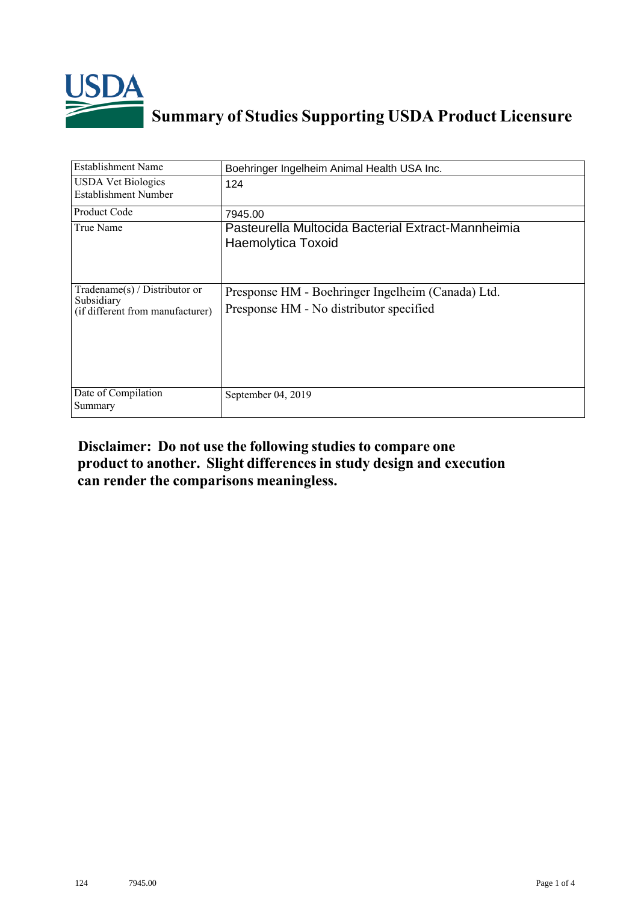

## **Summary of Studies Supporting USDA Product Licensure**

| <b>Establishment Name</b>                                                          | Boehringer Ingelheim Animal Health USA Inc.                                                  |
|------------------------------------------------------------------------------------|----------------------------------------------------------------------------------------------|
| <b>USDA Vet Biologics</b><br><b>Establishment Number</b>                           | 124                                                                                          |
| <b>Product Code</b>                                                                | 7945.00                                                                                      |
| True Name                                                                          | Pasteurella Multocida Bacterial Extract-Mannheimia<br>Haemolytica Toxoid                     |
| Tradename $(s)$ / Distributor or<br>Subsidiary<br>(if different from manufacturer) | Presponse HM - Boehringer Ingelheim (Canada) Ltd.<br>Presponse HM - No distributor specified |
| Date of Compilation<br>Summary                                                     | September 04, 2019                                                                           |

## **Disclaimer: Do not use the following studiesto compare one product to another. Slight differencesin study design and execution can render the comparisons meaningless.**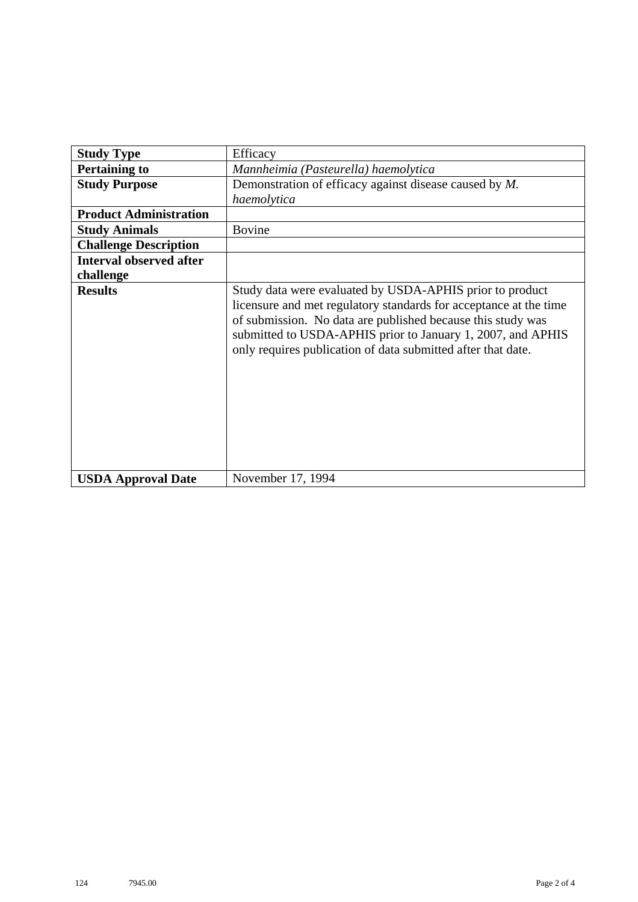| <b>Study Type</b>              | Efficacy                                                                                                                                                                                                                                                                                                                    |
|--------------------------------|-----------------------------------------------------------------------------------------------------------------------------------------------------------------------------------------------------------------------------------------------------------------------------------------------------------------------------|
| <b>Pertaining to</b>           | Mannheimia (Pasteurella) haemolytica                                                                                                                                                                                                                                                                                        |
| <b>Study Purpose</b>           | Demonstration of efficacy against disease caused by M.                                                                                                                                                                                                                                                                      |
|                                | haemolytica                                                                                                                                                                                                                                                                                                                 |
| <b>Product Administration</b>  |                                                                                                                                                                                                                                                                                                                             |
| <b>Study Animals</b>           | <b>Bovine</b>                                                                                                                                                                                                                                                                                                               |
| <b>Challenge Description</b>   |                                                                                                                                                                                                                                                                                                                             |
| <b>Interval observed after</b> |                                                                                                                                                                                                                                                                                                                             |
| challenge                      |                                                                                                                                                                                                                                                                                                                             |
| <b>Results</b>                 | Study data were evaluated by USDA-APHIS prior to product<br>licensure and met regulatory standards for acceptance at the time<br>of submission. No data are published because this study was<br>submitted to USDA-APHIS prior to January 1, 2007, and APHIS<br>only requires publication of data submitted after that date. |
| <b>USDA Approval Date</b>      | November 17, 1994                                                                                                                                                                                                                                                                                                           |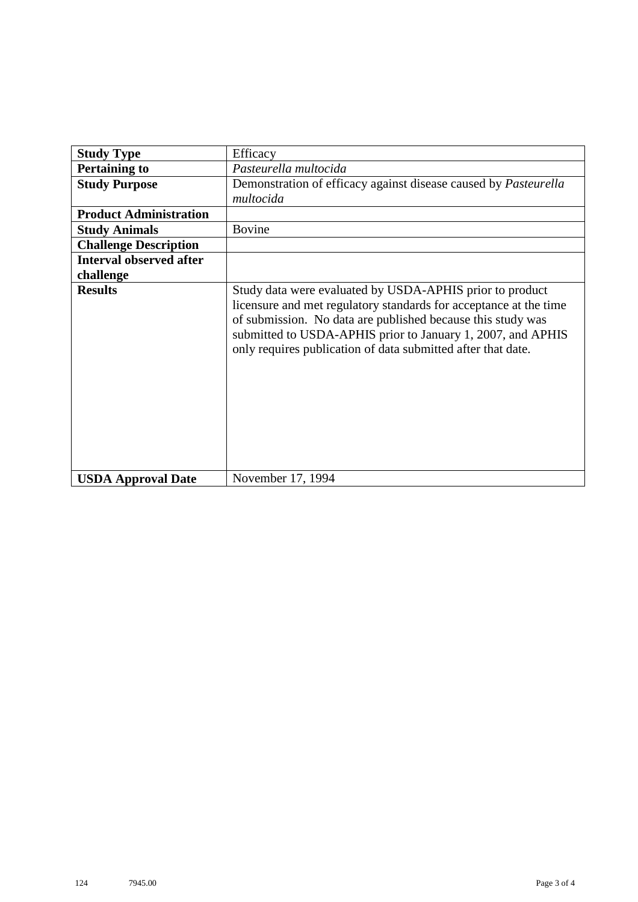| <b>Study Type</b>              | Efficacy                                                                                                                                                                                                                                                                                                                    |
|--------------------------------|-----------------------------------------------------------------------------------------------------------------------------------------------------------------------------------------------------------------------------------------------------------------------------------------------------------------------------|
| <b>Pertaining to</b>           | Pasteurella multocida                                                                                                                                                                                                                                                                                                       |
| <b>Study Purpose</b>           | Demonstration of efficacy against disease caused by <i>Pasteurella</i><br>multocida                                                                                                                                                                                                                                         |
| <b>Product Administration</b>  |                                                                                                                                                                                                                                                                                                                             |
| <b>Study Animals</b>           | <b>Bovine</b>                                                                                                                                                                                                                                                                                                               |
| <b>Challenge Description</b>   |                                                                                                                                                                                                                                                                                                                             |
| <b>Interval observed after</b> |                                                                                                                                                                                                                                                                                                                             |
| challenge                      |                                                                                                                                                                                                                                                                                                                             |
| <b>Results</b>                 | Study data were evaluated by USDA-APHIS prior to product<br>licensure and met regulatory standards for acceptance at the time<br>of submission. No data are published because this study was<br>submitted to USDA-APHIS prior to January 1, 2007, and APHIS<br>only requires publication of data submitted after that date. |
| <b>USDA Approval Date</b>      | November 17, 1994                                                                                                                                                                                                                                                                                                           |